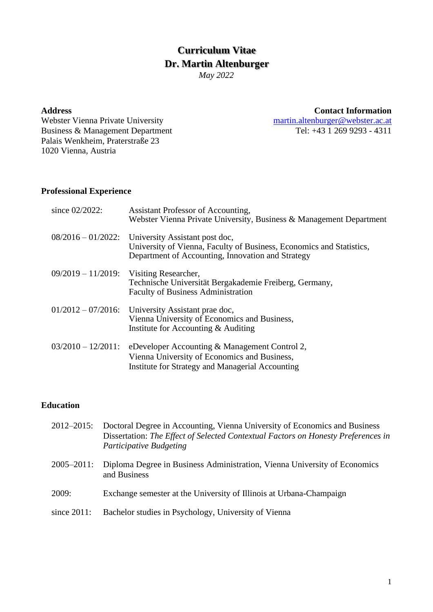# **Curriculum Vitae Dr. Martin Altenburger**

*May 2022*

**Address Contact Information**

Webster Vienna Private University<br>
Business & Management Department<br>
Tel: +43 1 269 9293 - 4311 Business & Management Department Palais Wenkheim, Praterstraße 23 1020 Vienna, Austria

#### **Professional Experience**

| since 02/2022:        | Assistant Professor of Accounting,<br>Webster Vienna Private University, Business & Management Department                                                   |
|-----------------------|-------------------------------------------------------------------------------------------------------------------------------------------------------------|
| $08/2016 - 01/2022$ : | University Assistant post doc,<br>University of Vienna, Faculty of Business, Economics and Statistics,<br>Department of Accounting, Innovation and Strategy |
| $09/2019 - 11/2019$ : | Visiting Researcher,<br>Technische Universität Bergakademie Freiberg, Germany,<br><b>Faculty of Business Administration</b>                                 |
| $01/2012 - 07/2016$ : | University Assistant prae doc,<br>Vienna University of Economics and Business,<br>Institute for Accounting $&$ Auditing                                     |
| $03/2010 - 12/2011$ : | eDeveloper Accounting & Management Control 2,<br>Vienna University of Economics and Business,<br>Institute for Strategy and Managerial Accounting           |

#### **Education**

- 2012–2015: Doctoral Degree in Accounting, Vienna University of Economics and Business Dissertation: *The Effect of Selected Contextual Factors on Honesty Preferences in Participative Budgeting*
- 2005–2011: Diploma Degree in Business Administration, Vienna University of Economics and Business
- 2009: Exchange semester at the University of Illinois at Urbana-Champaign
- since 2011: Bachelor studies in Psychology, University of Vienna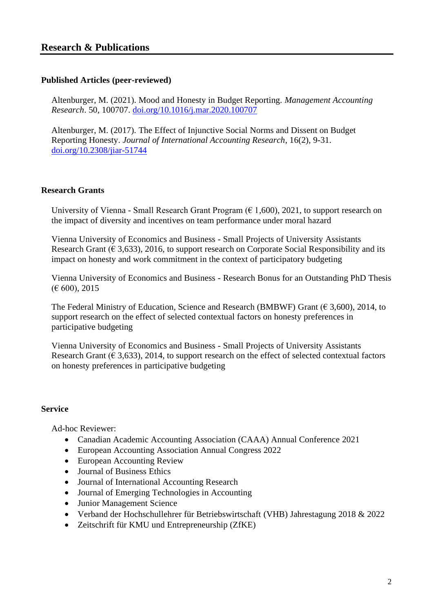#### **Published Articles (peer-reviewed)**

Altenburger, M. (2021). Mood and Honesty in Budget Reporting. *Management Accounting Research*. 50, 100707. [doi.org/10.1016/j.mar.2020.100707](https://doi.org/10.1016/j.mar.2020.100707)

Altenburger, M. (2017). The Effect of Injunctive Social Norms and Dissent on Budget Reporting Honesty. *Journal of International Accounting Research*, 16(2), 9-31. [doi.org/10.2308/jiar-51744](https://doi.org/10.2308/jiar-51744)

#### **Research Grants**

University of Vienna - Small Research Grant Program ( $\epsilon$  1,600), 2021, to support research on the impact of diversity and incentives on team performance under moral hazard

Vienna University of Economics and Business - Small Projects of University Assistants Research Grant ( $\epsilon$  3,633), 2016, to support research on Corporate Social Responsibility and its impact on honesty and work commitment in the context of participatory budgeting

Vienna University of Economics and Business - Research Bonus for an Outstanding PhD Thesis  $(E 600)$ , 2015

The Federal Ministry of Education, Science and Research (BMBWF) Grant ( $\epsilon$  3.600), 2014, to support research on the effect of selected contextual factors on honesty preferences in participative budgeting

Vienna University of Economics and Business - Small Projects of University Assistants Research Grant ( $\epsilon$  3,633), 2014, to support research on the effect of selected contextual factors on honesty preferences in participative budgeting

#### **Service**

Ad-hoc Reviewer:

- Canadian Academic Accounting Association (CAAA) Annual Conference 2021
- European Accounting Association Annual Congress 2022
- European Accounting Review
- Journal of Business Ethics
- Journal of International Accounting Research
- Journal of Emerging Technologies in Accounting
- Junior Management Science
- Verband der Hochschullehrer für Betriebswirtschaft (VHB) Jahrestagung 2018 & 2022
- Zeitschrift für KMU und Entrepreneurship (ZfKE)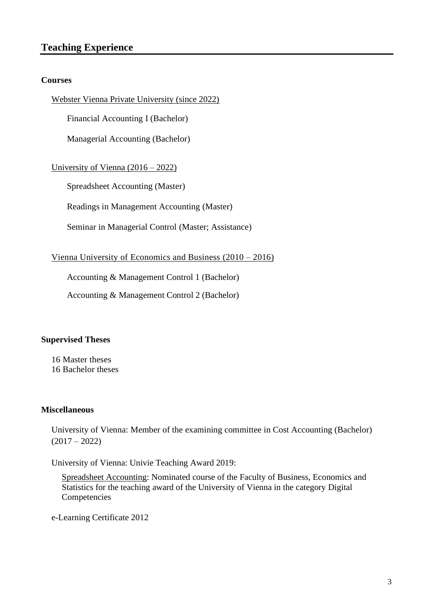### **Teaching Experience**

#### **Courses**

Webster Vienna Private University (since 2022)

Financial Accounting I (Bachelor)

Managerial Accounting (Bachelor)

University of Vienna (2016 – 2022)

Spreadsheet Accounting (Master)

Readings in Management Accounting (Master)

Seminar in Managerial Control (Master; Assistance)

Vienna University of Economics and Business (2010 – 2016)

Accounting & Management Control 1 (Bachelor)

Accounting & Management Control 2 (Bachelor)

#### **Supervised Theses**

16 Master theses 16 Bachelor theses

#### **Miscellaneous**

University of Vienna: Member of the examining committee in Cost Accounting (Bachelor)  $(2017 - 2022)$ 

University of Vienna: Univie Teaching Award 2019:

Spreadsheet Accounting: Nominated course of the Faculty of Business, Economics and Statistics for the teaching award of the University of Vienna in the category Digital Competencies

e-Learning Certificate 2012